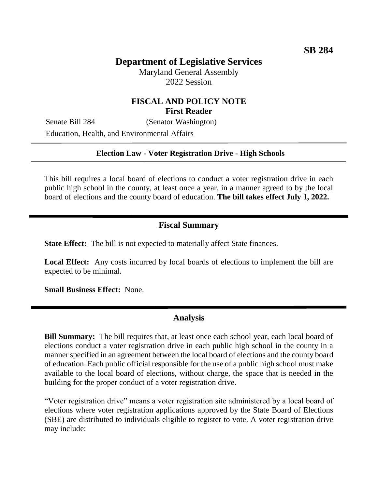# **Department of Legislative Services**

Maryland General Assembly 2022 Session

## **FISCAL AND POLICY NOTE First Reader**

Senate Bill 284 (Senator Washington) Education, Health, and Environmental Affairs

#### **Election Law - Voter Registration Drive - High Schools**

This bill requires a local board of elections to conduct a voter registration drive in each public high school in the county, at least once a year, in a manner agreed to by the local board of elections and the county board of education. **The bill takes effect July 1, 2022.**

### **Fiscal Summary**

**State Effect:** The bill is not expected to materially affect State finances.

**Local Effect:** Any costs incurred by local boards of elections to implement the bill are expected to be minimal.

**Small Business Effect:** None.

## **Analysis**

**Bill Summary:** The bill requires that, at least once each school year, each local board of elections conduct a voter registration drive in each public high school in the county in a manner specified in an agreement between the local board of elections and the county board of education. Each public official responsible for the use of a public high school must make available to the local board of elections, without charge, the space that is needed in the building for the proper conduct of a voter registration drive.

"Voter registration drive" means a voter registration site administered by a local board of elections where voter registration applications approved by the State Board of Elections (SBE) are distributed to individuals eligible to register to vote. A voter registration drive may include: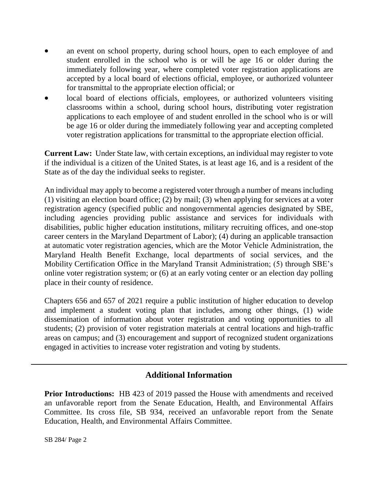- an event on school property, during school hours, open to each employee of and student enrolled in the school who is or will be age 16 or older during the immediately following year, where completed voter registration applications are accepted by a local board of elections official, employee, or authorized volunteer for transmittal to the appropriate election official; or
- local board of elections officials, employees, or authorized volunteers visiting classrooms within a school, during school hours, distributing voter registration applications to each employee of and student enrolled in the school who is or will be age 16 or older during the immediately following year and accepting completed voter registration applications for transmittal to the appropriate election official.

**Current Law:** Under State law, with certain exceptions, an individual may register to vote if the individual is a citizen of the United States, is at least age 16, and is a resident of the State as of the day the individual seeks to register.

An individual may apply to become a registered voter through a number of means including (1) visiting an election board office; (2) by mail; (3) when applying for services at a voter registration agency (specified public and nongovernmental agencies designated by SBE, including agencies providing public assistance and services for individuals with disabilities, public higher education institutions, military recruiting offices, and one-stop career centers in the Maryland Department of Labor); (4) during an applicable transaction at automatic voter registration agencies, which are the Motor Vehicle Administration, the Maryland Health Benefit Exchange, local departments of social services, and the Mobility Certification Office in the Maryland Transit Administration; (5) through SBE's online voter registration system; or (6) at an early voting center or an election day polling place in their county of residence.

Chapters 656 and 657 of 2021 require a public institution of higher education to develop and implement a student voting plan that includes, among other things, (1) wide dissemination of information about voter registration and voting opportunities to all students; (2) provision of voter registration materials at central locations and high-traffic areas on campus; and (3) encouragement and support of recognized student organizations engaged in activities to increase voter registration and voting by students.

# **Additional Information**

**Prior Introductions:** HB 423 of 2019 passed the House with amendments and received an unfavorable report from the Senate Education, Health, and Environmental Affairs Committee. Its cross file, SB 934, received an unfavorable report from the Senate Education, Health, and Environmental Affairs Committee.